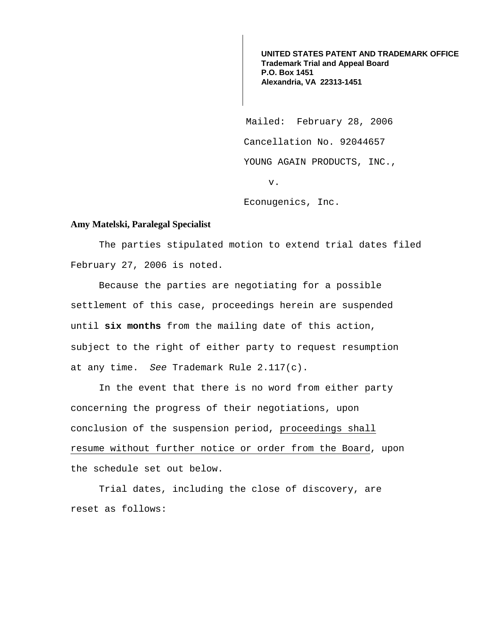**UNITED STATES PATENT AND TRADEMARK OFFICE Trademark Trial and Appeal Board P.O. Box 1451 Alexandria, VA 22313-1451**

 Mailed: February 28, 2006 Cancellation No. 92044657 YOUNG AGAIN PRODUCTS, INC., v.

Econugenics, Inc.

## **Amy Matelski, Paralegal Specialist**

 The parties stipulated motion to extend trial dates filed February 27, 2006 is noted.

 Because the parties are negotiating for a possible settlement of this case, proceedings herein are suspended until **six months** from the mailing date of this action, subject to the right of either party to request resumption at any time. See Trademark Rule  $2.117(c)$ .

 In the event that there is no word from either party concerning the progress of their negotiations, upon conclusion of the suspension period, proceedings shall resume without further notice or order from the Board, upon the schedule set out below.

 Trial dates, including the close of discovery, are reset as follows: